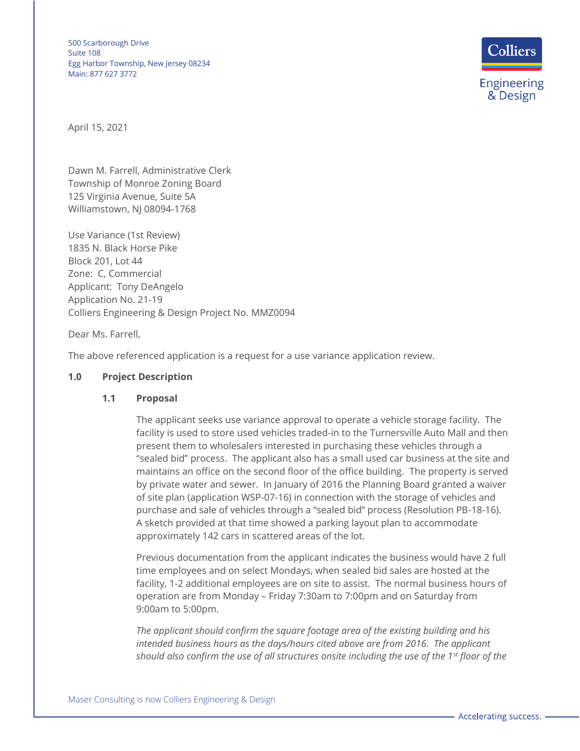

April 15, 2021

Dawn M. Farrell, Administrative Clerk Township of Monroe Zoning Board 125 Virginia Avenue, Suite 5A Williamstown, NJ 08094-1768

Use Variance (1st Review) 1835 N. Black Horse Pike Block 201, Lot 44 Zone: C, Commercial Applicant: Tony DeAngelo Application No. 21-19 Colliers Engineering & Design Project No. MMZ0094

Dear Ms. Farrell,

The above referenced application is a request for a use variance application review.

#### **1.0 Project Description**

#### **1.1 Proposal**

The applicant seeks use variance approval to operate a vehicle storage facility. The facility is used to store used vehicles traded-in to the Turnersville Auto Mall and then present them to wholesalers interested in purchasing these vehicles through a "sealed bid" process. The applicant also has a small used car business at the site and maintains an office on the second floor of the office building. The property is served by private water and sewer. In January of 2016 the Planning Board granted a waiver of site plan (application WSP-07-16) in connection with the storage of vehicles and purchase and sale of vehicles through a "sealed bid" process (Resolution PB-18-16). A sketch provided at that time showed a parking layout plan to accommodate approximately 142 cars in scattered areas of the lot.

Previous documentation from the applicant indicates the business would have 2 full time employees and on select Mondays, when sealed bid sales are hosted at the facility, 1-2 additional employees are on site to assist. The normal business hours of operation are from Monday – Friday 7:30am to 7:00pm and on Saturday from 9:00am to 5:00pm.

*The applicant should confirm the square footage area of the existing building and his intended business hours as the days/hours cited above are from 2016. The applicant should also confirm the use of all structures onsite including the use of the 1st floor of the*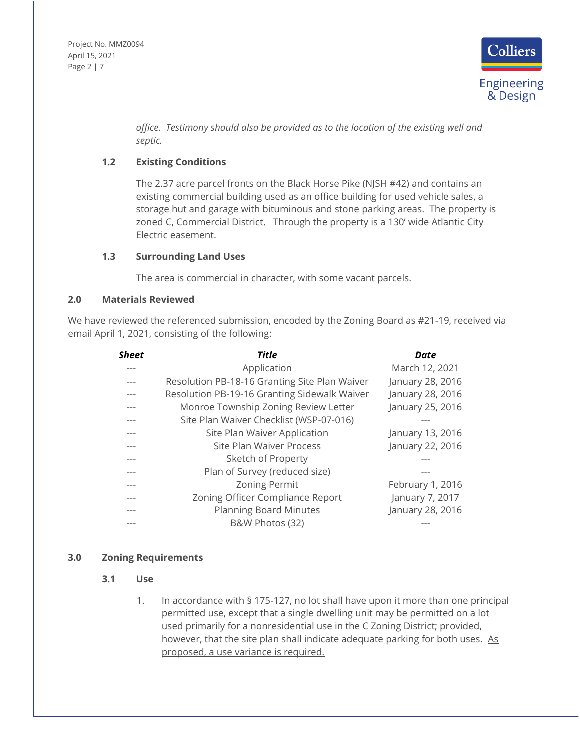

*office. Testimony should also be provided as to the location of the existing well and septic.*

# **1.2 Existing Conditions**

The 2.37 acre parcel fronts on the Black Horse Pike (NJSH #42) and contains an existing commercial building used as an office building for used vehicle sales, a storage hut and garage with bituminous and stone parking areas. The property is zoned C, Commercial District. Through the property is a 130' wide Atlantic City Electric easement.

### **1.3 Surrounding Land Uses**

The area is commercial in character, with some vacant parcels.

### **2.0 Materials Reviewed**

We have reviewed the referenced submission, encoded by the Zoning Board as #21-19, received via email April 1, 2021, consisting of the following:

| Sheet | <b>Title</b>                                  | Date             |
|-------|-----------------------------------------------|------------------|
|       | Application                                   | March 12, 2021   |
|       | Resolution PB-18-16 Granting Site Plan Waiver | January 28, 2016 |
|       | Resolution PB-19-16 Granting Sidewalk Waiver  | January 28, 2016 |
|       | Monroe Township Zoning Review Letter          | January 25, 2016 |
| ---   | Site Plan Waiver Checklist (WSP-07-016)       |                  |
| ---   | Site Plan Waiver Application                  | January 13, 2016 |
| ---   | Site Plan Waiver Process                      | January 22, 2016 |
| ---   | Sketch of Property                            |                  |
|       | Plan of Survey (reduced size)                 |                  |
| ---   | <b>Zoning Permit</b>                          | February 1, 2016 |
| ---   | Zoning Officer Compliance Report              | January 7, 2017  |
|       | <b>Planning Board Minutes</b>                 | January 28, 2016 |
|       | B&W Photos (32)                               |                  |

# **3.0 Zoning Requirements**

- **3.1 Use**
	- 1. In accordance with § 175-127, no lot shall have upon it more than one principal permitted use, except that a single dwelling unit may be permitted on a lot used primarily for a nonresidential use in the C Zoning District; provided, however, that the site plan shall indicate adequate parking for both uses. As proposed, a use variance is required.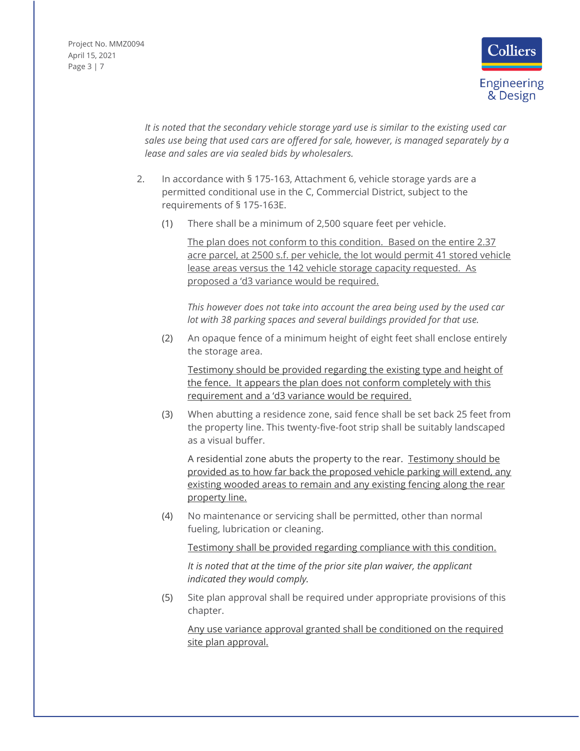Project No. MMZ0094 April 15, 2021 Page 3 | 7



*It is noted that the secondary vehicle storage yard use is similar to the existing used car sales use being that used cars are offered for sale, however, is managed separately by a lease and sales are via sealed bids by wholesalers.*

- 2. In accordance with § 175-163, Attachment 6, vehicle storage yards are a permitted conditional use in the C, Commercial District, subject to the requirements of § 175-163E.
	- [\(1\)](https://ecode360.com/7182536#7182536) There shall be a minimum of 2,500 square feet per vehicle.

The plan does not conform to this condition. Based on the entire 2.37 acre parcel, at 2500 s.f. per vehicle, the lot would permit 41 stored vehicle lease areas versus the 142 vehicle storage capacity requested. As proposed a 'd3 variance would be required.

*This however does not take into account the area being used by the used car lot with 38 parking spaces and several buildings provided for that use.*

[\(2\)](https://ecode360.com/7182537#7182537) An opaque fence of a minimum height of eight feet shall enclose entirely the storage area.

Testimony should be provided regarding the existing type and height of the fence. It appears the plan does not conform completely with this requirement and a 'd3 variance would be required.

[\(3\)](https://ecode360.com/7182538#7182538) When abutting a residence zone, said fence shall be set back 25 feet from the property line. This twenty-five-foot strip shall be suitably landscaped as a visual buffer.

A residential zone abuts the property to the rear. Testimony should be provided as to how far back the proposed vehicle parking will extend, any existing wooded areas to remain and any existing fencing along the rear property line.

[\(4\)](https://ecode360.com/7182539#7182539) No maintenance or servicing shall be permitted, other than normal fueling, lubrication or cleaning.

Testimony shall be provided regarding compliance with this condition.

*It is noted that at the time of the prior site plan waiver, the applicant indicated they would comply.*

[\(5\)](https://ecode360.com/7182540#7182540) Site plan approval shall be required under appropriate provisions of this chapter.

Any use variance approval granted shall be conditioned on the required site plan approval.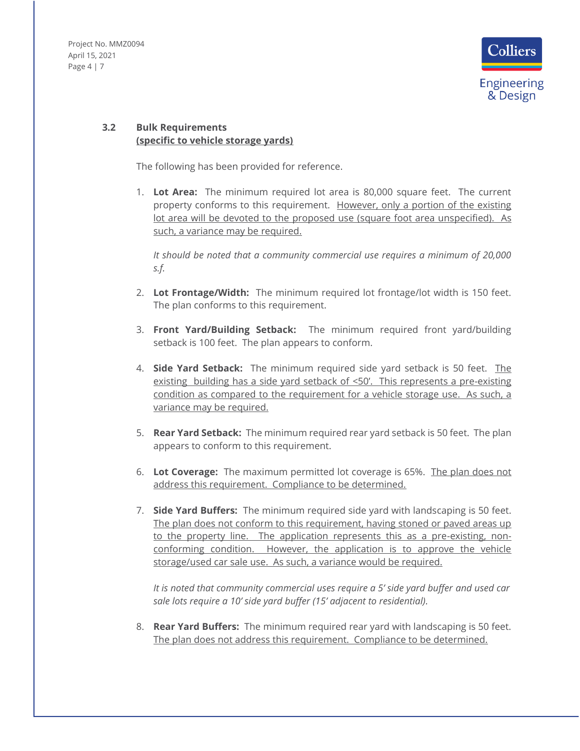Project No. MMZ0094 April 15, 2021 Page 4 | 7



# **3.2 Bulk Requirements (specific to vehicle storage yards)**

The following has been provided for reference.

1. **Lot Area:** The minimum required lot area is 80,000 square feet. The current property conforms to this requirement. However, only a portion of the existing lot area will be devoted to the proposed use (square foot area unspecified). As such, a variance may be required.

*It should be noted that a community commercial use requires a minimum of 20,000 s.f.*

- 2. **Lot Frontage/Width:** The minimum required lot frontage/lot width is 150 feet. The plan conforms to this requirement.
- 3. **Front Yard/Building Setback:** The minimum required front yard/building setback is 100 feet. The plan appears to conform.
- 4. **Side Yard Setback:** The minimum required side yard setback is 50 feet. The existing building has a side yard setback of <50'. This represents a pre-existing condition as compared to the requirement for a vehicle storage use. As such, a variance may be required.
- 5. **Rear Yard Setback:** The minimum required rear yard setback is 50 feet. The plan appears to conform to this requirement.
- 6. **Lot Coverage:** The maximum permitted lot coverage is 65%. The plan does not address this requirement. Compliance to be determined.
- 7. **Side Yard Buffers:** The minimum required side yard with landscaping is 50 feet. The plan does not conform to this requirement, having stoned or paved areas up to the property line. The application represents this as a pre-existing, nonconforming condition. However, the application is to approve the vehicle storage/used car sale use. As such, a variance would be required.

*It is noted that community commercial uses require a 5' side yard buffer and used car sale lots require a 10' side yard buffer (15' adjacent to residential).*

8. **Rear Yard Buffers:** The minimum required rear yard with landscaping is 50 feet. The plan does not address this requirement. Compliance to be determined.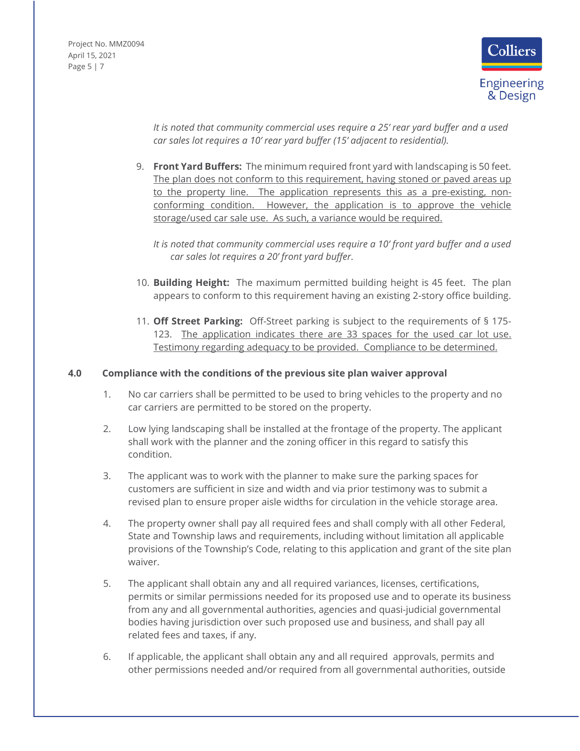Project No. MMZ0094 April 15, 2021 Page 5 | 7



*It is noted that community commercial uses require a 25' rear yard buffer and a used car sales lot requires a 10' rear yard buffer (15' adjacent to residential).*

9. **Front Yard Buffers:** The minimum required front yard with landscaping is 50 feet. The plan does not conform to this requirement, having stoned or paved areas up to the property line. The application represents this as a pre-existing, nonconforming condition. However, the application is to approve the vehicle storage/used car sale use. As such, a variance would be required.

*It is noted that community commercial uses require a 10' front yard buffer and a used car sales lot requires a 20' front yard buffer.*

- 10. **Building Height:** The maximum permitted building height is 45 feet. The plan appears to conform to this requirement having an existing 2-story office building.
- 11. **Off Street Parking:** Off-Street parking is subject to the requirements of § 175- 123. The application indicates there are 33 spaces for the used car lot use. Testimony regarding adequacy to be provided. Compliance to be determined.

### **4.0 Compliance with the conditions of the previous site plan waiver approval**

- 1. No car carriers shall be permitted to be used to bring vehicles to the property and no car carriers are permitted to be stored on the property.
- 2. Low lying landscaping shall be installed at the frontage of the property. The applicant shall work with the planner and the zoning officer in this regard to satisfy this condition.
- 3. The applicant was to work with the planner to make sure the parking spaces for customers are sufficient in size and width and via prior testimony was to submit a revised plan to ensure proper aisle widths for circulation in the vehicle storage area.
- 4. The property owner shall pay all required fees and shall comply with all other Federal, State and Township laws and requirements, including without limitation all applicable provisions of the Township's Code, relating to this application and grant of the site plan waiver.
- 5. The applicant shall obtain any and all required variances, licenses, certifications, permits or similar permissions needed for its proposed use and to operate its business from any and all governmental authorities, agencies and quasi-judicial governmental bodies having jurisdiction over such proposed use and business, and shall pay all related fees and taxes, if any.
- 6. If applicable, the applicant shall obtain any and all required approvals, permits and other permissions needed and/or required from all governmental authorities, outside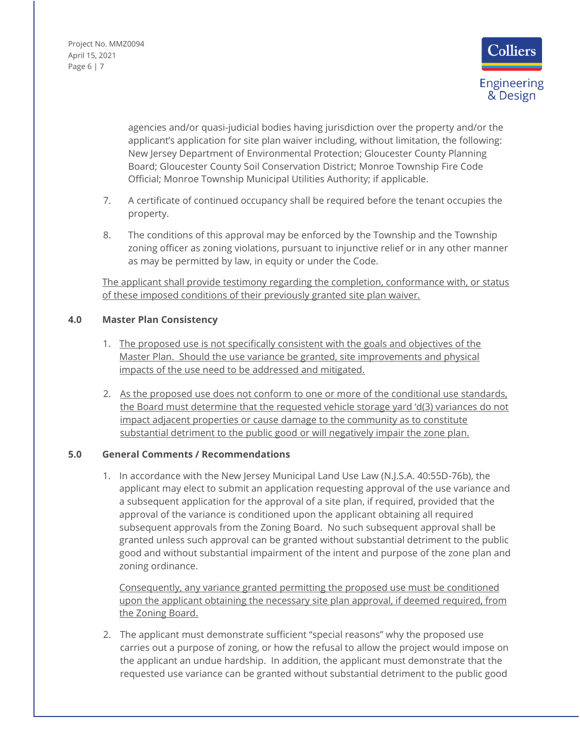Project No. MMZ0094 April 15, 2021 Page 6 | 7



agencies and/or quasi-judicial bodies having jurisdiction over the property and/or the applicant's application for site plan waiver including, without limitation, the following: New Jersey Department of Environmental Protection; Gloucester County Planning Board; Gloucester County Soil Conservation District; Monroe Township Fire Code Official; Monroe Township Municipal Utilities Authority; if applicable.

- 7. A certificate of continued occupancy shall be required before the tenant occupies the property.
- 8. The conditions of this approval may be enforced by the Township and the Township zoning officer as zoning violations, pursuant to injunctive relief or in any other manner as may be permitted by law, in equity or under the Code.

The applicant shall provide testimony regarding the completion, conformance with, or status of these imposed conditions of their previously granted site plan waiver.

# **4.0 Master Plan Consistency**

- 1. The proposed use is not specifically consistent with the goals and objectives of the Master Plan. Should the use variance be granted, site improvements and physical impacts of the use need to be addressed and mitigated.
- 2. As the proposed use does not conform to one or more of the conditional use standards, the Board must determine that the requested vehicle storage yard 'd(3) variances do not impact adjacent properties or cause damage to the community as to constitute substantial detriment to the public good or will negatively impair the zone plan.

#### **5.0 General Comments / Recommendations**

1. In accordance with the New Jersey Municipal Land Use Law (N.J.S.A. 40:55D-76b), the applicant may elect to submit an application requesting approval of the use variance and a subsequent application for the approval of a site plan, if required, provided that the approval of the variance is conditioned upon the applicant obtaining all required subsequent approvals from the Zoning Board. No such subsequent approval shall be granted unless such approval can be granted without substantial detriment to the public good and without substantial impairment of the intent and purpose of the zone plan and zoning ordinance.

Consequently, any variance granted permitting the proposed use must be conditioned upon the applicant obtaining the necessary site plan approval, if deemed required, from the Zoning Board.

2. The applicant must demonstrate sufficient "special reasons" why the proposed use carries out a purpose of zoning, or how the refusal to allow the project would impose on the applicant an undue hardship. In addition, the applicant must demonstrate that the requested use variance can be granted without substantial detriment to the public good